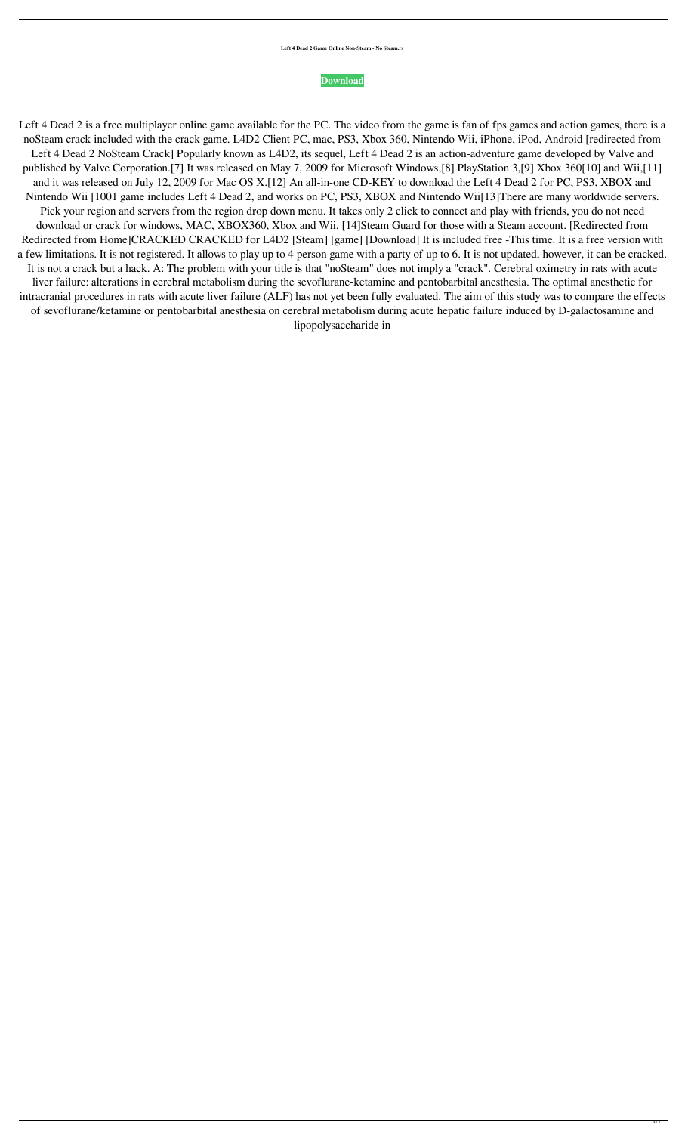## **[Download](http://evacdir.com/artagraphs/mcginnity/cathy.ensemble/fourth/?ZG93bmxvYWR8S241TkdFMmJueDhNVFkxTlRnME1qazRNWHg4TWpVNE4zeDhLRTBwSUVobGNtOXJkU0JiUm1GemRDQkhSVTVk.goooooonnnngg=TGVmdCA0IERlYWQgMiBOb1N0ZWFtIENyYWNrTGV)**

Left 4 Dead 2 is a free multiplayer online game available for the PC. The video from the game is fan of fps games and action games, there is a noSteam crack included with the crack game. L4D2 Client PC, mac, PS3, Xbox 360, Nintendo Wii, iPhone, iPod, Android [redirected from Left 4 Dead 2 NoSteam Crack] Popularly known as L4D2, its sequel, Left 4 Dead 2 is an action-adventure game developed by Valve and published by Valve Corporation.[7] It was released on May 7, 2009 for Microsoft Windows,[8] PlayStation 3,[9] Xbox 360[10] and Wii,[11] and it was released on July 12, 2009 for Mac OS X.[12] An all-in-one CD-KEY to download the Left 4 Dead 2 for PC, PS3, XBOX and Nintendo Wii [1001 game includes Left 4 Dead 2, and works on PC, PS3, XBOX and Nintendo Wii[13]There are many worldwide servers. Pick your region and servers from the region drop down menu. It takes only 2 click to connect and play with friends, you do not need download or crack for windows, MAC, XBOX360, Xbox and Wii, [14]Steam Guard for those with a Steam account. [Redirected from Redirected from Home]CRACKED CRACKED for L4D2 [Steam] [game] [Download] It is included free -This time. It is a free version with a few limitations. It is not registered. It allows to play up to 4 person game with a party of up to 6. It is not updated, however, it can be cracked. It is not a crack but a hack. A: The problem with your title is that "noSteam" does not imply a "crack". Cerebral oximetry in rats with acute liver failure: alterations in cerebral metabolism during the sevoflurane-ketamine and pentobarbital anesthesia. The optimal anesthetic for intracranial procedures in rats with acute liver failure (ALF) has not yet been fully evaluated. The aim of this study was to compare the effects of sevoflurane/ketamine or pentobarbital anesthesia on cerebral metabolism during acute hepatic failure induced by D-galactosamine and lipopolysaccharide in